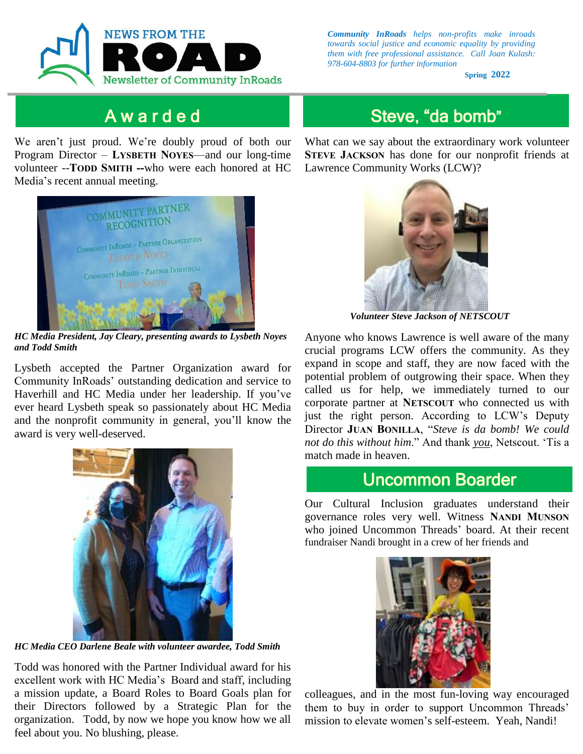

### A w a r d e d

We aren't just proud. We're doubly proud of both our Program Director – **LYSBETH NOYES**—and our long-time volunteer --**TODD SMITH --**who were each honored at HC Media's recent annual meeting.



*HC Media President, Jay Cleary, presenting awards to Lysbeth Noyes and Todd Smith*

Lysbeth accepted the Partner Organization award for Community InRoads' outstanding dedication and service to Haverhill and HC Media under her leadership. If you've ever heard Lysbeth speak so passionately about HC Media and the nonprofit community in general, you'll know the award is very well-deserved.



*HC Media CEO Darlene Beale with volunteer awardee, Todd Smith*

organization. Todd, by now we hope you know how we all mission to elevate women's self-esteem. Yeah, Nandi! feel about you. No blushing, please. Todd was honored with the Partner Individual award for his excellent work with HC Media's Board and staff, including a mission update, a Board Roles to Board Goals plan for their Directors followed by a Strategic Plan for the

*Community InRoads helps non-profits make inroads towards social justice and economic equality by providing them with free professional assistance. Call Joan Kulash: 978-604-8803 for further information*

**Spring 2022**

# Steve, "da bomb"

What can we say about the extraordinary work volunteer **STEVE JACKSON** has done for our nonprofit friends at Lawrence Community Works (LCW)?



 *Volunteer Steve Jackson of NETSCOUT*

Anyone who knows Lawrence is well aware of the many crucial programs LCW offers the community. As they expand in scope and staff, they are now faced with the potential problem of outgrowing their space. When they called us for help, we immediately turned to our corporate partner at **NETSCOUT** who connected us with just the right person. According to LCW's Deputy Director **JUAN BONILLA**, "*Steve is da bomb! We could not do this without him*." And thank *you*, Netscout. 'Tis a match made in heaven.

Our Cultural Inclusion graduates understand their governance roles very well. Witness **NANDI MUNSON** who joined Uncommon Threads' board. At their recent fundraiser Nandi brought in a crew of her friends and



mission to elevate women's self-esteem. Yeah, Nandi! *Email us at jkulash@communityinroads.org* colleagues, and in the most fun-loving way encouraged them to buy in order to support Uncommon Threads'